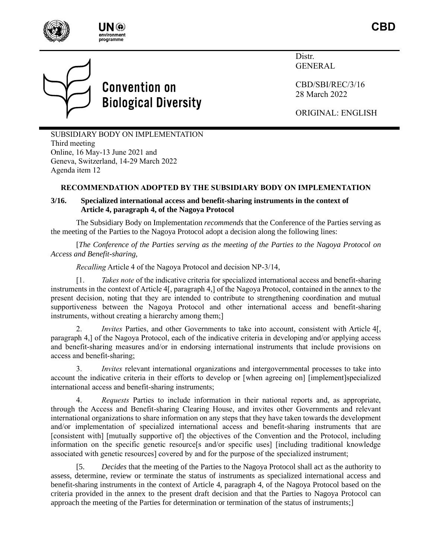



# **Convention on Biological Diversity**

Distr. GENERAL

CBD/SBI/REC/3/16 28 March 2022

ORIGINAL: ENGLISH

SUBSIDIARY BODY ON IMPLEMENTATION Third meeting Online, 16 May-13 June 2021 and Geneva, Switzerland, 14-29 March 2022 Agenda item 12

## **RECOMMENDATION ADOPTED BY THE SUBSIDIARY BODY ON IMPLEMENTATION**

## **3/16. Specialized international access and benefit-sharing instruments in the context of Article 4, paragraph 4, of the Nagoya Protocol**

The Subsidiary Body on Implementation *recommends* that the Conference of the Parties serving as the meeting of the Parties to the Nagoya Protocol adopt a decision along the following lines:

[*The Conference of the Parties serving as the meeting of the Parties to the Nagoya Protocol on Access and Benefit-sharing*,

*Recalling* Article 4 of the Nagoya Protocol and decision NP-3/14,

[1. *Takes note* of the indicative criteria for specialized international access and benefit-sharing instruments in the context of Article 4[, paragraph 4,] of the Nagoya Protocol, contained in the annex to the present decision, noting that they are intended to contribute to strengthening coordination and mutual supportiveness between the Nagoya Protocol and other international access and benefit-sharing instruments, without creating a hierarchy among them;]

2. *Invites* Parties, and other Governments to take into account, consistent with Article 4[, paragraph 4,] of the Nagoya Protocol, each of the indicative criteria in developing and/or applying access and benefit-sharing measures and/or in endorsing international instruments that include provisions on access and benefit-sharing;

3. *Invites* relevant international organizations and intergovernmental processes to take into account the indicative criteria in their efforts to develop or [when agreeing on] [implement]specialized international access and benefit-sharing instruments;

4. *Requests* Parties to include information in their national reports and, as appropriate, through the Access and Benefit-sharing Clearing House, and invites other Governments and relevant international organizations to share information on any steps that they have taken towards the development and/or implementation of specialized international access and benefit-sharing instruments that are [consistent with] [mutually supportive of] the objectives of the Convention and the Protocol, including information on the specific genetic resource[s and/or specific uses] [including traditional knowledge associated with genetic resources] covered by and for the purpose of the specialized instrument;

[5. *Decides* that the meeting of the Parties to the Nagoya Protocol shall act as the authority to assess, determine, review or terminate the status of instruments as specialized international access and benefit-sharing instruments in the context of Article 4, paragraph 4, of the Nagoya Protocol based on the criteria provided in the annex to the present draft decision and that the Parties to Nagoya Protocol can approach the meeting of the Parties for determination or termination of the status of instruments;]